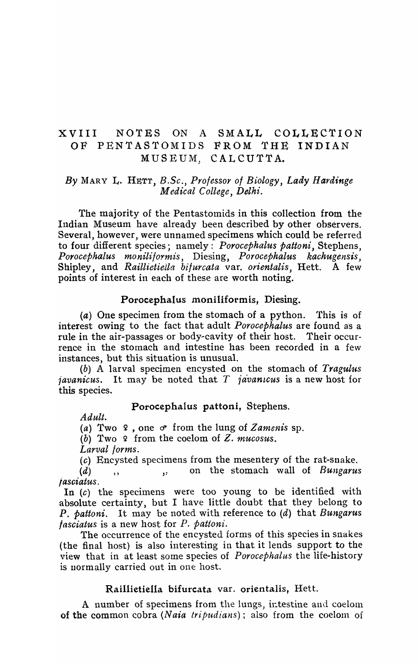# XVIII NOTES ON A SMALL COLLECTION OF PENTASTOMIDS FROM 'fHE INDIAN MUSEUM, CALCUTTA.

## *By* MARY L. HETT, *B.Sc., Professor of Biology, Lady Hardinge Medical College, Delhi.*

The majority of the Pentastomids in this collection from the Indian Museum have already been described by other observers. Several, however, were unnamed specimens which could be referred to four different species; namely: *Porocephalus pattoni*, Stephens, *Porocephalus moniliformis*, Diesing, *Porocephalus kachugensis*, Shipley, and *RaillietieUa bi/urcata* var. *orientalis,* Hett. A few points of interest in each of these are worth noting.

## Porocephalus moniliformis, Diesing.

(a) One specimen from the stomach of a python. This is of interest owing to the fact that adult *Porocephalus* are found as a rule in the air-passages or body-cavity of their host. Their occurrence in the stornach and intestine has been recorded in a few instances, but this situation is unusual.

*(b)* A larval specimen encysted on the stomach of *Tragul'us javanicus.* It may be noted that *T javanicus* is a new host for this species.

#### Porocephalus pattoni, Stephens.

*Adult.* 

*(a)* Two 9 , one d' from the lung of *Zamenis* sp.

(b) Two 2 from the coelom of Z. *mucosus.* 

*Larval forms.* 

(c) Encysted specimens from the mesentery of the rat-snake.

(d) )' ,: on the stomach wall of *Bungarus iasciatus.* 

In  $(c)$  the specimens were too young to be identified with absolute certainty, but I have little doubt that they belong to P. *pattoni.* It may be noted with reference to (d) that *Bungarus fasciatus* is a new host for *P. pattoni*.

The occurrence of the encysted forms of this species in snakes (the final host) is also interesting in that it lends support to the view that in at least some species of *Porocephalus* the life-history is normally carried out in one host.

### Rail1ietiel1a bifurcata var. orientalis, Hett.

A number of specimens from the lungs, intestine and coelom of the common cobra *(Naia tripudians)*; also from the coelom of